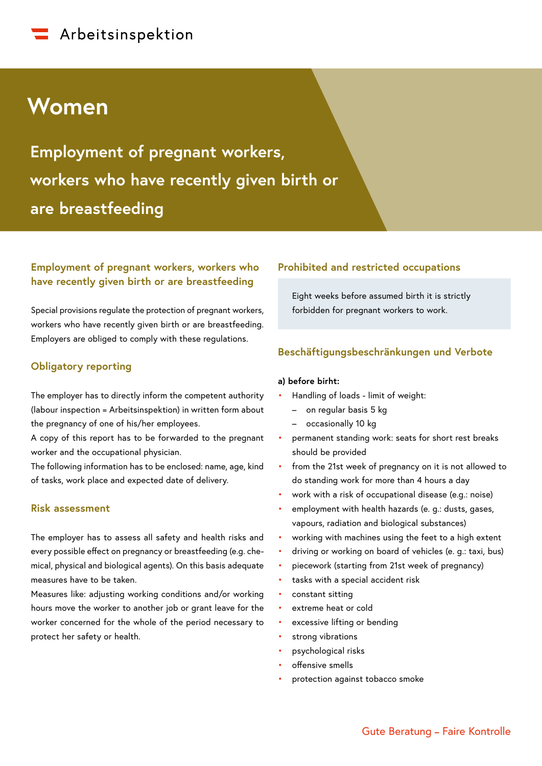# **Women**

**Employment of pregnant workers, workers who have recently given birth or are breastfeeding**

## **Employment of pregnant workers, workers who have recently given birth or are breastfeeding**

Special provisions regulate the protection of pregnant workers, workers who have recently given birth or are breastfeeding. Employers are obliged to comply with these regulations.

## **Obligatory reporting**

The employer has to directly inform the competent authority (labour inspection = Arbeitsinspektion) in written form about the pregnancy of one of his/her employees.

A copy of this report has to be forwarded to the pregnant worker and the occupational physician.

The following information has to be enclosed: name, age, kind of tasks, work place and expected date of delivery.

## **Risk assessment**

The employer has to assess all safety and health risks and every possible effect on pregnancy or breastfeeding (e.g. chemical, physical and biological agents). On this basis adequate measures have to be taken.

Measures like: adjusting working conditions and/or working hours move the worker to another job or grant leave for the worker concerned for the whole of the period necessary to protect her safety or health.

### **Prohibited and restricted occupations**

Eight weeks before assumed birth it is strictly forbidden for pregnant workers to work.

## **Beschäftigungsbeschränkungen und Verbote**

#### **a) before birht:**

- Handling of loads limit of weight:
	- on regular basis 5 kg
	- occasionally 10 kg
- permanent standing work: seats for short rest breaks should be provided
- from the 21st week of pregnancy on it is not allowed to do standing work for more than 4 hours a day
- work with a risk of occupational disease (e.g.: noise)
- employment with health hazards (e. g.: dusts, gases, vapours, radiation and biological substances)
- working with machines using the feet to a high extent
- driving or working on board of vehicles (e. g.: taxi, bus)
- piecework (starting from 21st week of pregnancy)
- tasks with a special accident risk
- constant sitting
- extreme heat or cold
- excessive lifting or bending
- strong vibrations
- psychological risks
- offensive smells
- protection against tobacco smoke